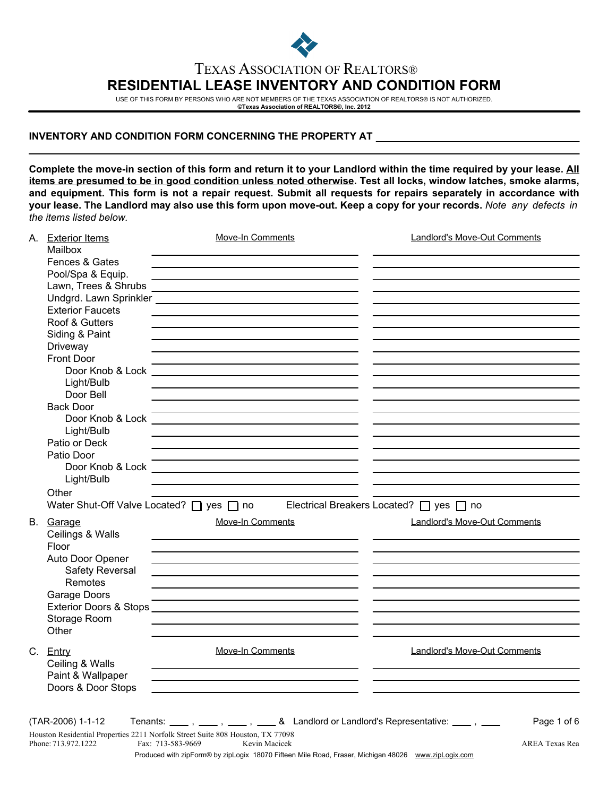

## TEXAS ASSOCIATION OF REALTORS® **RESIDENTIAL LEASE INVENTORY AND CONDITION FORM**

USE OF THIS FORM BY PERSONS WHO ARE NOT MEMBERS OF THE TEXAS ASSOCIATION OF REALTORS® IS NOT AUTHORIZED. **©Texas Association of REALTORS®, Inc. 2012**

## **INVENTORY AND CONDITION FORM CONCERNING THE PROPERTY AT**

**Complete the move-in section of this form and return it to your Landlord within the time required by your lease. All items are presumed to be in good condition unless noted otherwise. Test all locks, window latches, smoke alarms, and equipment. This form is not a repair request. Submit all requests for repairs separately in accordance with your lease. The Landlord may also use this form upon move-out. Keep a copy for your records.** *Note any defects in the items listed below.*

|  | A. Exterior Items<br>Mailbox      | Move-In Comments                                                                                                     | <b>Landlord's Move-Out Comments</b>     |
|--|-----------------------------------|----------------------------------------------------------------------------------------------------------------------|-----------------------------------------|
|  |                                   |                                                                                                                      |                                         |
|  | Fences & Gates                    |                                                                                                                      |                                         |
|  | Pool/Spa & Equip.                 | <u> 1989 - Johann Barn, amerikansk politiker (d. 1989)</u>                                                           |                                         |
|  | Lawn, Trees & Shrubs              |                                                                                                                      |                                         |
|  |                                   |                                                                                                                      |                                         |
|  | <b>Exterior Faucets</b>           |                                                                                                                      |                                         |
|  | Roof & Gutters                    |                                                                                                                      |                                         |
|  | Siding & Paint                    |                                                                                                                      |                                         |
|  | Driveway                          |                                                                                                                      |                                         |
|  | <b>Front Door</b>                 |                                                                                                                      |                                         |
|  |                                   |                                                                                                                      |                                         |
|  | Light/Bulb                        |                                                                                                                      |                                         |
|  | Door Bell                         |                                                                                                                      |                                         |
|  | <b>Back Door</b>                  |                                                                                                                      |                                         |
|  |                                   |                                                                                                                      |                                         |
|  | Light/Bulb                        |                                                                                                                      |                                         |
|  | Patio or Deck                     |                                                                                                                      |                                         |
|  | Patio Door                        |                                                                                                                      |                                         |
|  |                                   |                                                                                                                      |                                         |
|  | Light/Bulb                        |                                                                                                                      |                                         |
|  | Other                             |                                                                                                                      |                                         |
|  |                                   | Water Shut-Off Valve Located? □ yes □ no                                                                             | Electrical Breakers Located? □ yes □ no |
|  |                                   |                                                                                                                      |                                         |
|  | B. Garage                         | Move-In Comments                                                                                                     | <b>Landlord's Move-Out Comments</b>     |
|  | Ceilings & Walls                  |                                                                                                                      |                                         |
|  | Floor                             | the contract of the contract of the contract of the contract of the contract of                                      |                                         |
|  | Auto Door Opener                  | the control of the control of the control of the control of the control of the control of                            |                                         |
|  | Safety Reversal                   | the control of the control of the control of the control of the control of the control of                            |                                         |
|  | Remotes                           |                                                                                                                      |                                         |
|  | Garage Doors                      | <u> 1989 - Johann Barn, amerikansk politiker (d. 1989)</u>                                                           |                                         |
|  | <b>Exterior Doors &amp; Stops</b> | <u> Alexandria de la contrada de la contrada de la contrada de la contrada de la contrada de la contrada de la c</u> |                                         |
|  | Storage Room                      |                                                                                                                      |                                         |
|  | Other                             |                                                                                                                      |                                         |
|  |                                   |                                                                                                                      |                                         |
|  | C. Entry                          | Move-In Comments                                                                                                     | <b>Landlord's Move-Out Comments</b>     |
|  | Ceiling & Walls                   |                                                                                                                      |                                         |
|  | Paint & Wallpaper                 | <u> 1980 - Johann Barn, mars ann an t-Amhain Aonaich an t-Aonaich an t-Aonaich ann an t-Aonaich ann an t-Aonaich</u> |                                         |
|  | Doors & Door Stops                | <u> 1989 - Johann Stoff, amerikansk politiker (d. 1989)</u>                                                          |                                         |
|  |                                   |                                                                                                                      |                                         |
|  | (TAR-2006) 1-1-12                 | Tenants: _____, ____, ____, & Landlord or Landlord's Representative: ____, ____                                      |                                         |
|  |                                   |                                                                                                                      | Page 1 of 6                             |
|  | Phone: 713.972.1222               | Houston Residential Properties 2211 Norfolk Street Suite 808 Houston, TX 77098<br>Fax: 713-583-9669<br>Kevin Macicek | AREA Texas Rea                          |
|  |                                   | Produced with zipForm® by zipLogix 18070 Fifteen Mile Road, Fraser, Michigan 48026 www.zipLogix.com                  |                                         |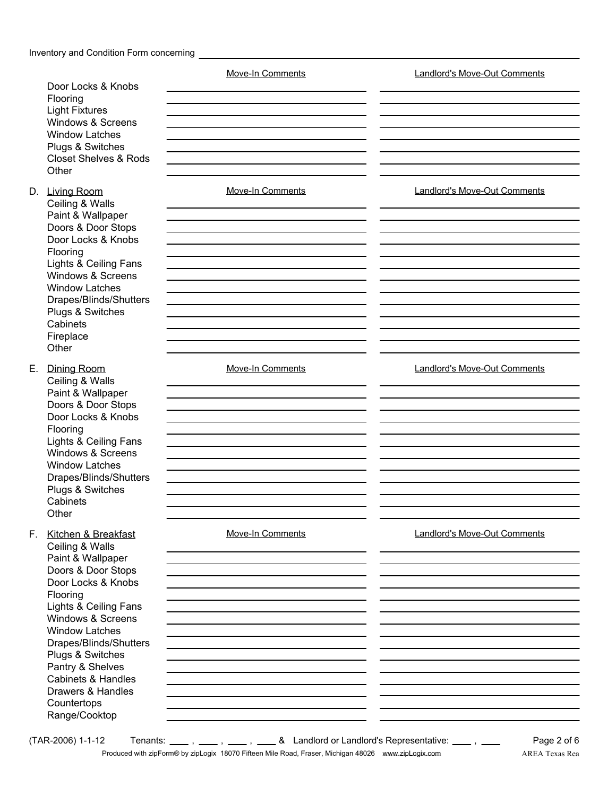| Door Locks & Knobs<br>Flooring<br><b>Light Fixtures</b><br>Windows & Screens<br><b>Window Latches</b><br>Plugs & Switches<br><b>Closet Shelves &amp; Rods</b><br>Other                                                                                                                                                                                | <b>Move-In Comments</b> | <b>Landlord's Move-Out Comments</b> |  |  |
|-------------------------------------------------------------------------------------------------------------------------------------------------------------------------------------------------------------------------------------------------------------------------------------------------------------------------------------------------------|-------------------------|-------------------------------------|--|--|
| D. Living Room<br>Ceiling & Walls<br>Paint & Wallpaper<br>Doors & Door Stops<br>Door Locks & Knobs<br>Flooring<br>Lights & Ceiling Fans<br>Windows & Screens<br><b>Window Latches</b><br>Drapes/Blinds/Shutters<br>Plugs & Switches<br>Cabinets<br>Fireplace<br>Other                                                                                 | <b>Move-In Comments</b> | <b>Landlord's Move-Out Comments</b> |  |  |
| E. Dining Room<br>Ceiling & Walls<br>Paint & Wallpaper<br>Doors & Door Stops<br>Door Locks & Knobs<br>Flooring<br>Lights & Ceiling Fans<br>Windows & Screens<br><b>Window Latches</b><br>Drapes/Blinds/Shutters<br>Plugs & Switches<br>Cabinets<br>Other                                                                                              | Move-In Comments        | <b>Landlord's Move-Out Comments</b> |  |  |
| F. Kitchen & Breakfast<br>Ceiling & Walls<br>Paint & Wallpaper<br>Doors & Door Stops<br>Door Locks & Knobs<br>Flooring<br>Lights & Ceiling Fans<br>Windows & Screens<br><b>Window Latches</b><br>Drapes/Blinds/Shutters<br>Plugs & Switches<br>Pantry & Shelves<br><b>Cabinets &amp; Handles</b><br>Drawers & Handles<br>Countertops<br>Range/Cooktop | Move-In Comments        | Landlord's Move-Out Comments        |  |  |

 $(TAR-2006)$  1-1-12 Tenants:  $\frac{1}{1}$ ,  $\frac{1}{1}$ ,  $\frac{1}{1}$ ,  $\frac{1}{1}$ ,  $\frac{1}{1}$ ,  $\frac{1}{1}$  & Landlord or Landlord's Representative:  $\frac{1}{1}$ ,  $\frac{1}{1}$ Produced with zipForm® by zipLogix 18070 Fifteen Mile Road, Fraser, Michigan 48026 www.zipLogix.com AREA Texas Rea

Page 2 of 6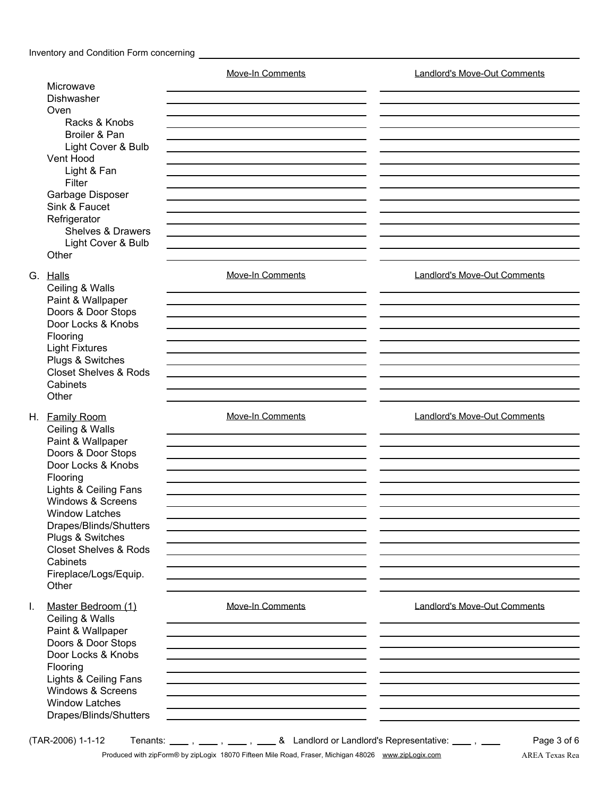|                                                                                                                                                                                                                                                                                                                       | Move-In Comments                                                                                              | <b>Landlord's Move-Out Comments</b> |
|-----------------------------------------------------------------------------------------------------------------------------------------------------------------------------------------------------------------------------------------------------------------------------------------------------------------------|---------------------------------------------------------------------------------------------------------------|-------------------------------------|
| Microwave<br>Dishwasher                                                                                                                                                                                                                                                                                               |                                                                                                               |                                     |
| Oven<br>Racks & Knobs<br>Broiler & Pan<br>Light Cover & Bulb<br>Vent Hood<br>Light & Fan<br>Filter<br>Garbage Disposer                                                                                                                                                                                                |                                                                                                               |                                     |
| Sink & Faucet<br>Refrigerator<br>Shelves & Drawers<br>Light Cover & Bulb<br>Other                                                                                                                                                                                                                                     |                                                                                                               |                                     |
| G. Halls<br>Ceiling & Walls<br>Paint & Wallpaper<br>Doors & Door Stops<br>Door Locks & Knobs<br>Flooring<br><b>Light Fixtures</b><br>Plugs & Switches<br><b>Closet Shelves &amp; Rods</b><br>Cabinets<br>Other                                                                                                        | <b>Move-In Comments</b>                                                                                       | <b>Landlord's Move-Out Comments</b> |
| H. Family Room<br>Ceiling & Walls<br>Paint & Wallpaper<br>Doors & Door Stops<br>Door Locks & Knobs<br>Flooring<br>Lights & Ceiling Fans<br>Windows & Screens<br><b>Window Latches</b><br>Drapes/Blinds/Shutters<br>Plugs & Switches<br><b>Closet Shelves &amp; Rods</b><br>Cabinets<br>Fireplace/Logs/Equip.<br>Other | Move-In Comments<br>the control of the control of the control of the control of the control of the control of | Landlord's Move-Out Comments        |
| Ι.<br>Master Bedroom (1)<br>Ceiling & Walls<br>Paint & Wallpaper<br>Doors & Door Stops<br>Door Locks & Knobs<br>Flooring<br>Lights & Ceiling Fans<br>Windows & Screens<br><b>Window Latches</b><br>Drapes/Blinds/Shutters                                                                                             | <b>Move-In Comments</b>                                                                                       | <b>Landlord's Move-Out Comments</b> |

Produced with zipForm® by zipLogix 18070 Fifteen Mile Road, Fraser, Michigan 48026 www.zipLogix.com AREA Texas Rea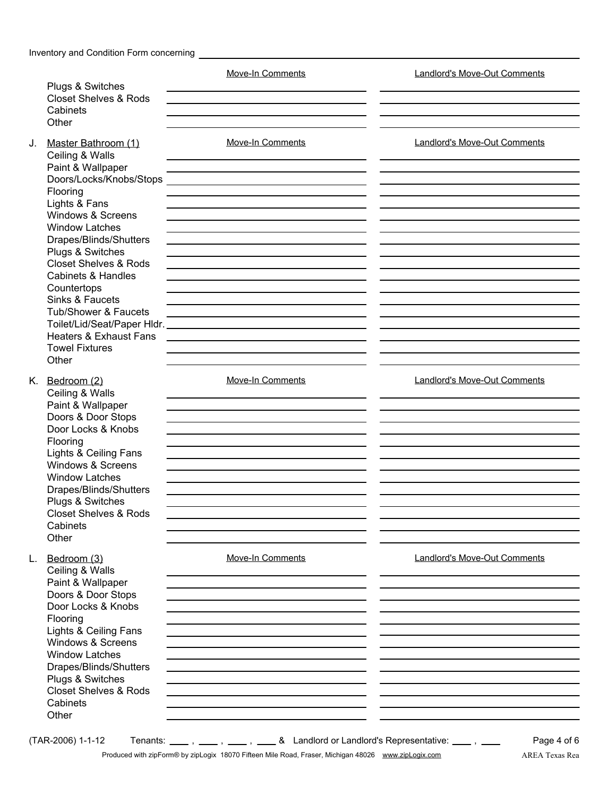|    | Plugs & Switches                                                                                                                                                                                                                                                                                                                                         | <b>Move-In Comments</b>                                                                                                                                                                                                       | <b>Landlord's Move-Out Comments</b> |
|----|----------------------------------------------------------------------------------------------------------------------------------------------------------------------------------------------------------------------------------------------------------------------------------------------------------------------------------------------------------|-------------------------------------------------------------------------------------------------------------------------------------------------------------------------------------------------------------------------------|-------------------------------------|
|    | <b>Closet Shelves &amp; Rods</b><br>Cabinets                                                                                                                                                                                                                                                                                                             |                                                                                                                                                                                                                               |                                     |
|    | Other                                                                                                                                                                                                                                                                                                                                                    |                                                                                                                                                                                                                               |                                     |
| J. | Master Bathroom (1)<br>Ceiling & Walls<br>Paint & Wallpaper<br>Flooring<br>Lights & Fans<br>Windows & Screens<br><b>Window Latches</b><br>Drapes/Blinds/Shutters<br>Plugs & Switches<br><b>Closet Shelves &amp; Rods</b><br><b>Cabinets &amp; Handles</b><br>Countertops<br>Sinks & Faucets<br>Tub/Shower & Faucets<br><b>Heaters &amp; Exhaust Fans</b> | <b>Move-In Comments</b><br><u> 1989 - Johann Barn, amerikansk politiker (d. 1989)</u><br><u> 1989 - Andrea Stadt Britain, amerikansk politik (* 1958)</u><br><u> 1989 - Johann John Stone, Amerikaansk politiker († 1908)</u> | <b>Landlord's Move-Out Comments</b> |
|    | <b>Towel Fixtures</b><br>Other                                                                                                                                                                                                                                                                                                                           |                                                                                                                                                                                                                               |                                     |
|    | K. Bedroom (2)<br>Ceiling & Walls<br>Paint & Wallpaper<br>Doors & Door Stops<br>Door Locks & Knobs<br>Flooring<br>Lights & Ceiling Fans<br>Windows & Screens<br><b>Window Latches</b><br>Drapes/Blinds/Shutters<br>Plugs & Switches                                                                                                                      | Move-In Comments                                                                                                                                                                                                              | <b>Landlord's Move-Out Comments</b> |
|    | <b>Closet Shelves &amp; Rods</b><br>Cabinets                                                                                                                                                                                                                                                                                                             |                                                                                                                                                                                                                               |                                     |
|    | Other                                                                                                                                                                                                                                                                                                                                                    |                                                                                                                                                                                                                               |                                     |
| L. | Bedroom (3)<br>Ceiling & Walls<br>Paint & Wallpaper<br>Doors & Door Stops<br>Door Locks & Knobs<br>Flooring<br>Lights & Ceiling Fans<br>Windows & Screens<br><b>Window Latches</b><br>Drapes/Blinds/Shutters<br>Plugs & Switches<br><b>Closet Shelves &amp; Rods</b><br>Cabinets<br>Other                                                                | Move-In Comments                                                                                                                                                                                                              | <b>Landlord's Move-Out Comments</b> |
|    | (TAR-2006) 1-1-12                                                                                                                                                                                                                                                                                                                                        | Tenants: _____, ____, ____, & Landlord or Landlord's Representative: ____, ____                                                                                                                                               | Page 4 of 6                         |
|    |                                                                                                                                                                                                                                                                                                                                                          | Produced with zipForm® by zipLogix 18070 Fifteen Mile Road, Fraser, Michigan 48026 www.zipLogix.com                                                                                                                           | AREA Texas Rea                      |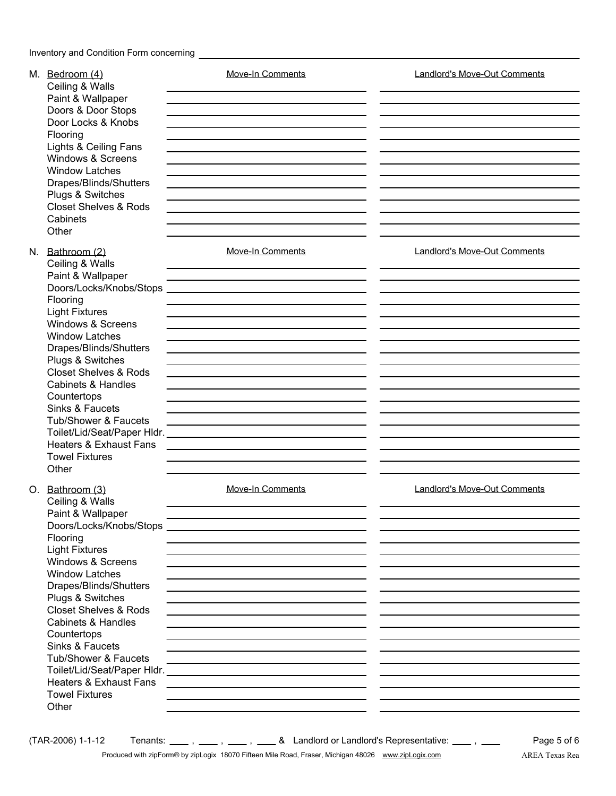| M. Bedroom (4)<br>Ceiling & Walls<br>Paint & Wallpaper<br>Doors & Door Stops<br>Door Locks & Knobs<br>Flooring<br>Lights & Ceiling Fans<br>Windows & Screens<br><b>Window Latches</b><br>Drapes/Blinds/Shutters<br>Plugs & Switches<br><b>Closet Shelves &amp; Rods</b><br>Cabinets<br>Other                                                                                                                   | <b>Move-In Comments</b><br>the control of the control of the control of the control of the control of the control of                                                                                                                                                                                                                                               | <b>Landlord's Move-Out Comments</b> |
|----------------------------------------------------------------------------------------------------------------------------------------------------------------------------------------------------------------------------------------------------------------------------------------------------------------------------------------------------------------------------------------------------------------|--------------------------------------------------------------------------------------------------------------------------------------------------------------------------------------------------------------------------------------------------------------------------------------------------------------------------------------------------------------------|-------------------------------------|
| N. Bathroom (2)<br>Ceiling & Walls<br>Paint & Wallpaper<br>Doors/Locks/Knobs/Stops<br>Flooring<br><b>Light Fixtures</b><br>Windows & Screens<br><b>Window Latches</b><br>Drapes/Blinds/Shutters<br>Plugs & Switches<br><b>Closet Shelves &amp; Rods</b><br><b>Cabinets &amp; Handles</b><br>Countertops<br>Sinks & Faucets<br>Tub/Shower & Faucets<br>Heaters & Exhaust Fans<br><b>Towel Fixtures</b><br>Other | <b>Move-In Comments</b><br>the control of the control of the control of the control of the control of the control of                                                                                                                                                                                                                                               | <b>Landlord's Move-Out Comments</b> |
| O. Bathroom (3)<br>Ceiling & Walls<br>Paint & Wallpaper<br>Doors/Locks/Knobs/Stops<br>Flooring<br><b>Light Fixtures</b><br>Windows & Screens<br><b>Window Latches</b><br>Drapes/Blinds/Shutters<br>Plugs & Switches<br><b>Closet Shelves &amp; Rods</b><br>Cabinets & Handles<br>Countertops<br>Sinks & Faucets<br>Tub/Shower & Faucets<br>Heaters & Exhaust Fans<br><b>Towel Fixtures</b><br>Other            | <b>Move-In Comments</b><br>the control of the control of the control of the control of the control of the control of<br>the contract of the contract of the contract of the contract of the contract of<br><u> 1989 - Johann Barn, amerikansk politiker (d. 1989)</u><br>the control of the control of the control of the control of the control of the control of | Landlord's Move-Out Comments        |

 $(TAR-2006)$  1-1-12 Tenants:  $\frac{1}{1}$ ,  $\frac{1}{1}$ ,  $\frac{1}{1}$ ,  $\frac{1}{1}$ ,  $\frac{1}{1}$ ,  $\frac{1}{1}$ ,  $\frac{1}{1}$ ,  $\frac{1}{1}$ ,  $\frac{1}{1}$ ,  $\frac{1}{1}$ 

Page 5 of 6 Produced with zipForm® by zipLogix 18070 Fifteen Mile Road, Fraser, Michigan 48026 www.zipLogix.com AREA Texas Rea